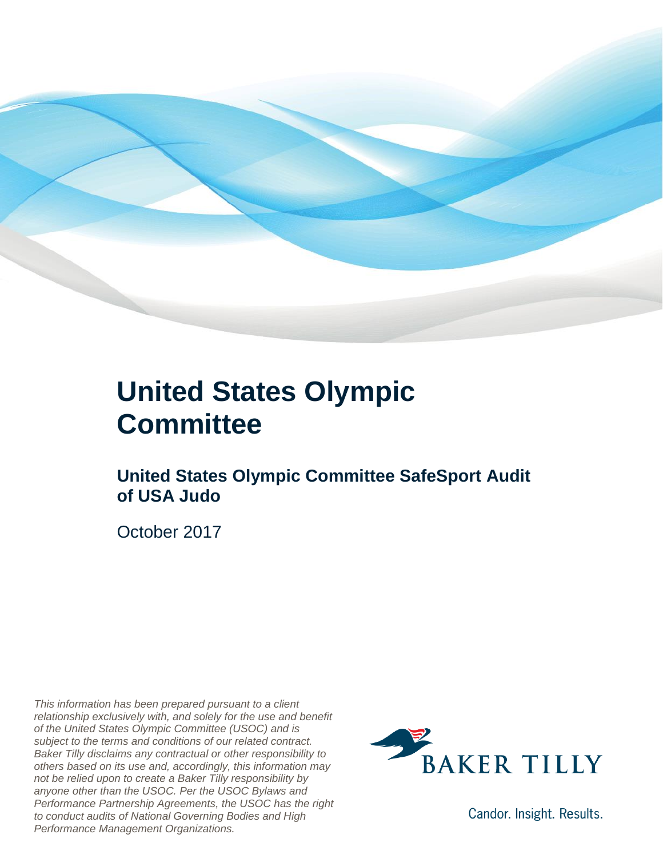

### **United States Olympic Committee**

#### **United States Olympic Committee SafeSport Audit of USA Judo**

October 2017

*This information has been prepared pursuant to a client relationship exclusively with, and solely for the use and benefit of the United States Olympic Committee (USOC) and is subject to the terms and conditions of our related contract. Baker Tilly disclaims any contractual or other responsibility to others based on its use and, accordingly, this information may not be relied upon to create a Baker Tilly responsibility by anyone other than the USOC. Per the USOC Bylaws and Performance Partnership Agreements, the USOC has the right to conduct audits of National Governing Bodies and High Performance Management Organizations.*



Candor. Insight. Results.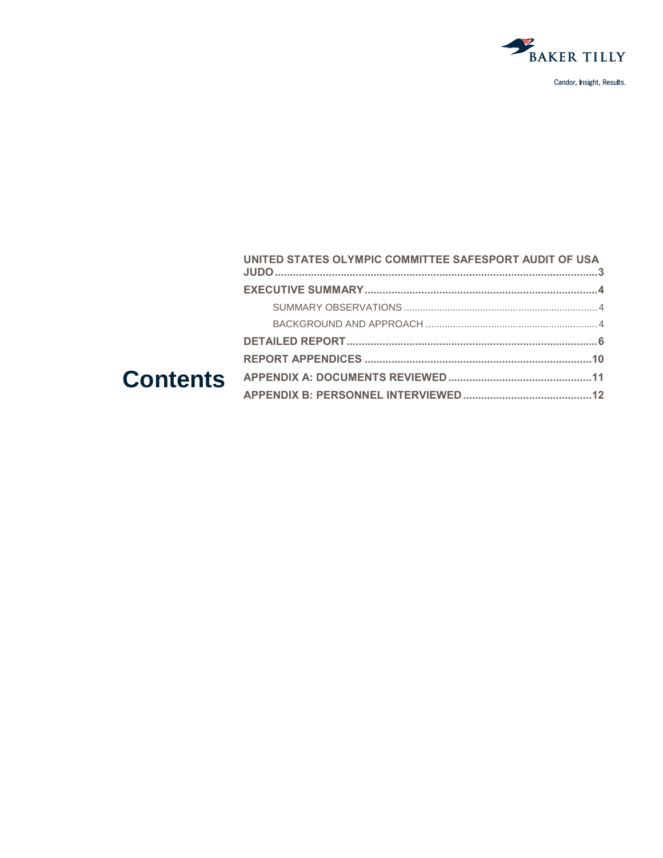

|        | UNITED STATES OLYMPIC COMMITTEE SAFESPORT AUDIT OF USA |  |
|--------|--------------------------------------------------------|--|
|        |                                                        |  |
|        |                                                        |  |
|        |                                                        |  |
|        |                                                        |  |
|        |                                                        |  |
| ıtents |                                                        |  |
|        |                                                        |  |
|        |                                                        |  |

#### Con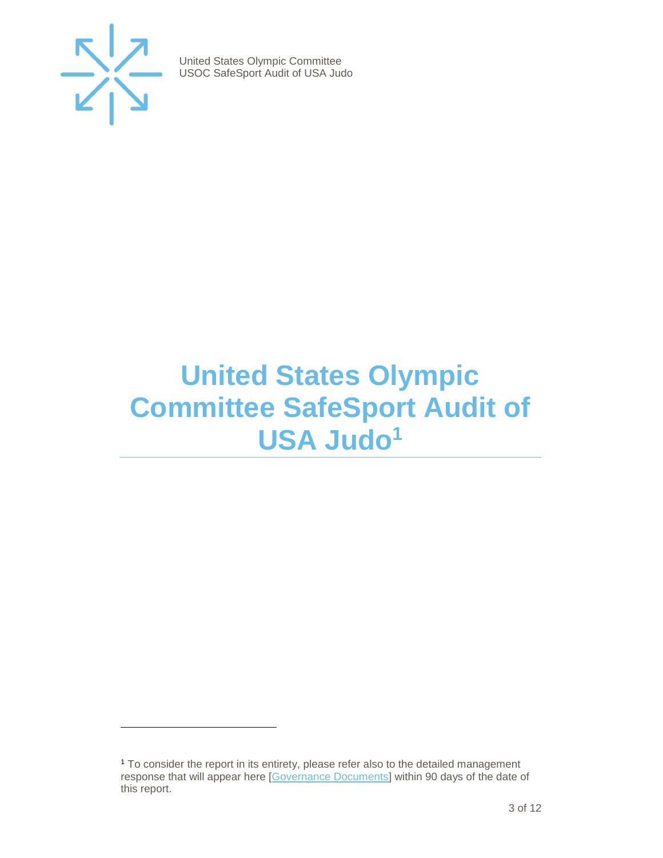

 $\overline{a}$ 

United States Olympic Committee USOC SafeSport Audit of USA Judo

## <span id="page-2-0"></span>**United States Olympic Committee SafeSport Audit of USA Judo<sup>1</sup>**

<sup>1</sup> To consider the report in its entirety, please refer also to the detailed management response that will appear here [\[Governance Documents\]](https://www.teamusa.org/Footer/Legal/Governance-Documents) within 90 days of the date of this report.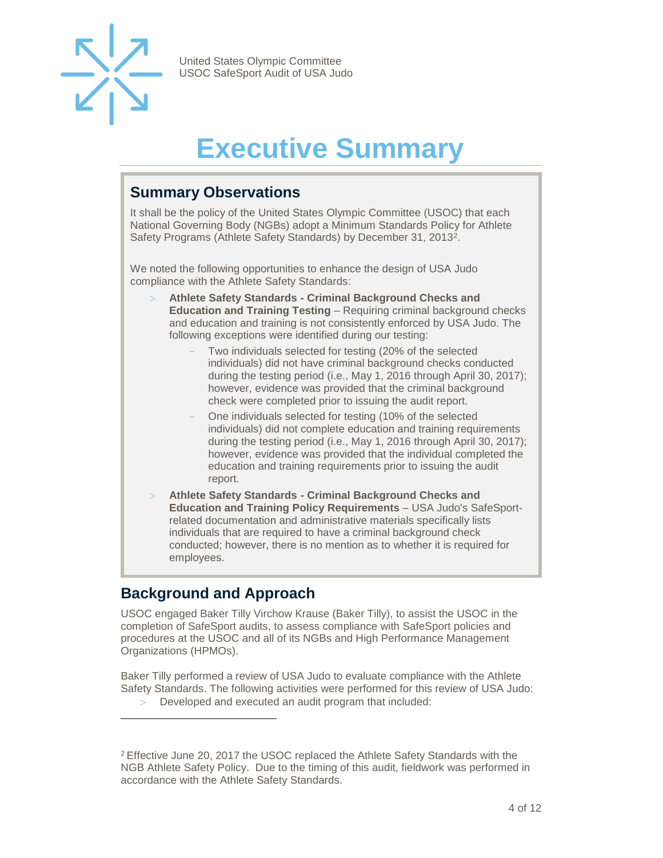

# **Executive Summary**

#### <span id="page-3-1"></span><span id="page-3-0"></span>**Summary Observations**

It shall be the policy of the United States Olympic Committee (USOC) that each National Governing Body (NGBs) adopt a Minimum Standards Policy for Athlete Safety Programs (Athlete Safety Standards) by December 31, 2013<sup>2</sup>.

We noted the following opportunities to enhance the design of USA Judo compliance with the Athlete Safety Standards:

- **Athlete Safety Standards - Criminal Background Checks and Education and Training Testing** – Requiring criminal background checks and education and training is not consistently enforced by USA Judo. The following exceptions were identified during our testing:
	- Two individuals selected for testing (20% of the selected individuals) did not have criminal background checks conducted during the testing period (i.e., May 1, 2016 through April 30, 2017); however, evidence was provided that the criminal background check were completed prior to issuing the audit report.
	- One individuals selected for testing (10% of the selected individuals) did not complete education and training requirements during the testing period (i.e., May 1, 2016 through April 30, 2017); however, evidence was provided that the individual completed the education and training requirements prior to issuing the audit report.
- **Athlete Safety Standards - Criminal Background Checks and Education and Training Policy Requirements** – USA Judo's SafeSportrelated documentation and administrative materials specifically lists individuals that are required to have a criminal background check conducted; however, there is no mention as to whether it is required for employees.

#### <span id="page-3-2"></span>**Background and Approach**

 $\overline{a}$ 

USOC engaged Baker Tilly Virchow Krause (Baker Tilly), to assist the USOC in the completion of SafeSport audits, to assess compliance with SafeSport policies and procedures at the USOC and all of its NGBs and High Performance Management Organizations (HPMOs).

Baker Tilly performed a review of USA Judo to evaluate compliance with the Athlete Safety Standards. The following activities were performed for this review of USA Judo:

Developed and executed an audit program that included:

<sup>2</sup> Effective June 20, 2017 the USOC replaced the Athlete Safety Standards with the NGB Athlete Safety Policy. Due to the timing of this audit, fieldwork was performed in accordance with the Athlete Safety Standards.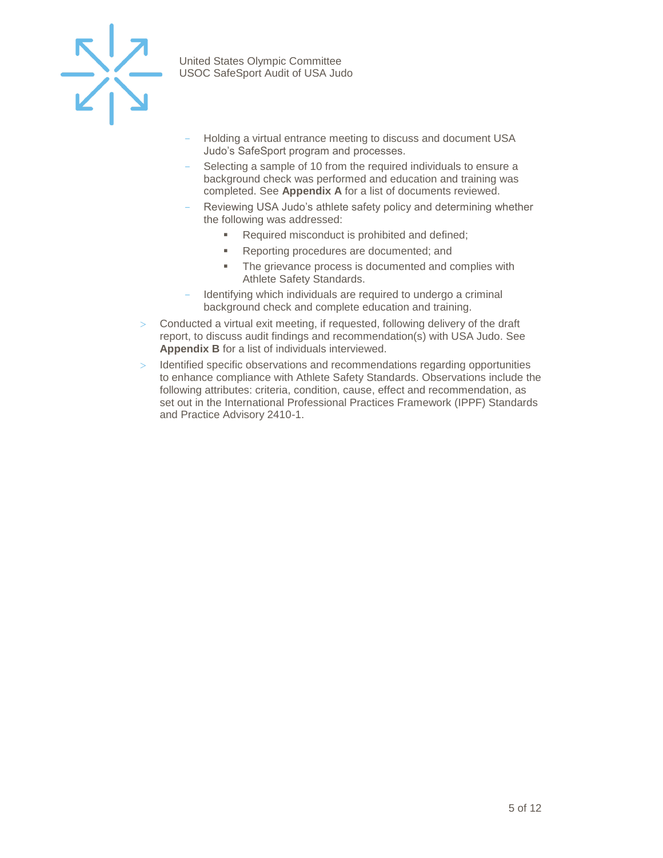

- Holding a virtual entrance meeting to discuss and document USA Judo's SafeSport program and processes.
- Selecting a sample of 10 from the required individuals to ensure a background check was performed and education and training was completed. See **Appendix A** for a list of documents reviewed.
- Reviewing USA Judo's athlete safety policy and determining whether the following was addressed:
	- Required misconduct is prohibited and defined;
	- Reporting procedures are documented; and
	- **The grievance process is documented and complies with** Athlete Safety Standards.
- Identifying which individuals are required to undergo a criminal background check and complete education and training.
- $>$  Conducted a virtual exit meeting, if requested, following delivery of the draft report, to discuss audit findings and recommendation(s) with USA Judo. See **Appendix B** for a list of individuals interviewed.
- Identified specific observations and recommendations regarding opportunities to enhance compliance with Athlete Safety Standards. Observations include the following attributes: criteria, condition, cause, effect and recommendation, as set out in the International Professional Practices Framework (IPPF) Standards and Practice Advisory 2410-1.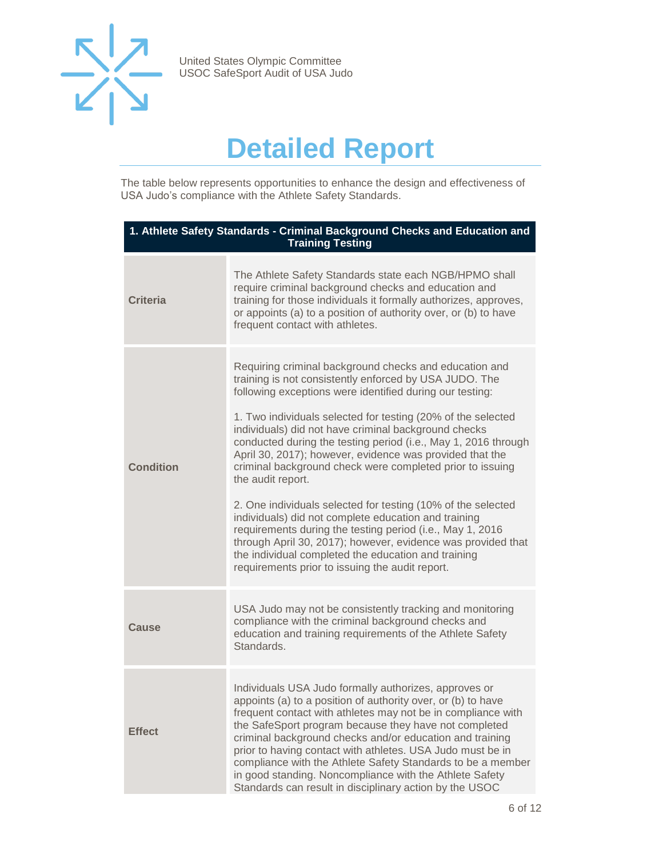

## **Detailed Report**

<span id="page-5-0"></span>The table below represents opportunities to enhance the design and effectiveness of USA Judo's compliance with the Athlete Safety Standards.

| 1. Athlete Safety Standards - Criminal Background Checks and Education and<br><b>Training Testing</b> |                                                                                                                                                                                                                                                                                                                                                                                                                                                                                                                                                                                                                                                                                                                                                                                                                                                                                     |  |
|-------------------------------------------------------------------------------------------------------|-------------------------------------------------------------------------------------------------------------------------------------------------------------------------------------------------------------------------------------------------------------------------------------------------------------------------------------------------------------------------------------------------------------------------------------------------------------------------------------------------------------------------------------------------------------------------------------------------------------------------------------------------------------------------------------------------------------------------------------------------------------------------------------------------------------------------------------------------------------------------------------|--|
| <b>Criteria</b>                                                                                       | The Athlete Safety Standards state each NGB/HPMO shall<br>require criminal background checks and education and<br>training for those individuals it formally authorizes, approves,<br>or appoints (a) to a position of authority over, or (b) to have<br>frequent contact with athletes.                                                                                                                                                                                                                                                                                                                                                                                                                                                                                                                                                                                            |  |
| <b>Condition</b>                                                                                      | Requiring criminal background checks and education and<br>training is not consistently enforced by USA JUDO. The<br>following exceptions were identified during our testing:<br>1. Two individuals selected for testing (20% of the selected<br>individuals) did not have criminal background checks<br>conducted during the testing period (i.e., May 1, 2016 through<br>April 30, 2017); however, evidence was provided that the<br>criminal background check were completed prior to issuing<br>the audit report.<br>2. One individuals selected for testing (10% of the selected<br>individuals) did not complete education and training<br>requirements during the testing period (i.e., May 1, 2016<br>through April 30, 2017); however, evidence was provided that<br>the individual completed the education and training<br>requirements prior to issuing the audit report. |  |
| Cause                                                                                                 | USA Judo may not be consistently tracking and monitoring<br>compliance with the criminal background checks and<br>education and training requirements of the Athlete Safety<br>Standards.                                                                                                                                                                                                                                                                                                                                                                                                                                                                                                                                                                                                                                                                                           |  |
| <b>Effect</b>                                                                                         | Individuals USA Judo formally authorizes, approves or<br>appoints (a) to a position of authority over, or (b) to have<br>frequent contact with athletes may not be in compliance with<br>the SafeSport program because they have not completed<br>criminal background checks and/or education and training<br>prior to having contact with athletes. USA Judo must be in<br>compliance with the Athlete Safety Standards to be a member<br>in good standing. Noncompliance with the Athlete Safety<br>Standards can result in disciplinary action by the USOC                                                                                                                                                                                                                                                                                                                       |  |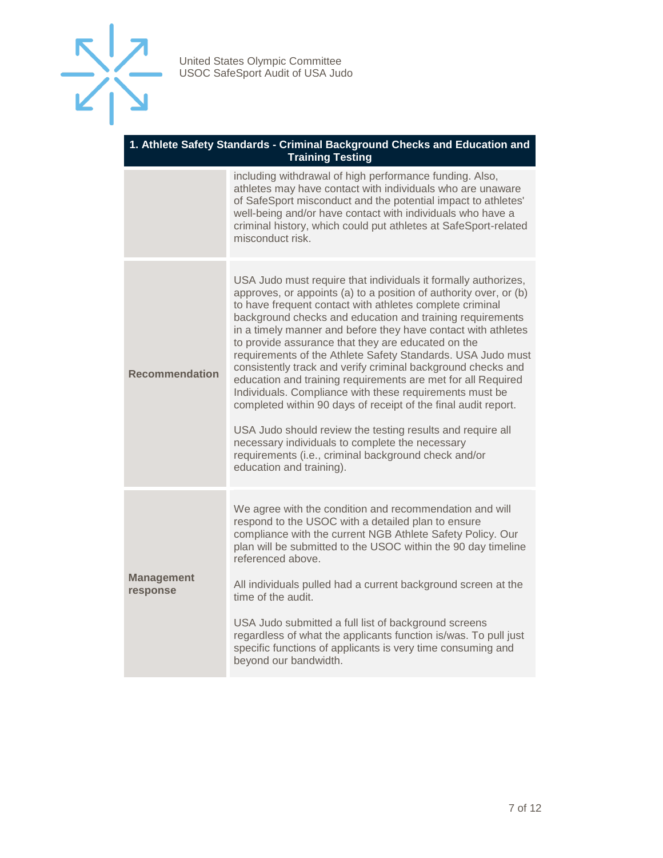

#### **1. Athlete Safety Standards - Criminal Background Checks and Education and Training Testing**

|                               | including withdrawal of high performance funding. Also,<br>athletes may have contact with individuals who are unaware<br>of SafeSport misconduct and the potential impact to athletes'<br>well-being and/or have contact with individuals who have a<br>criminal history, which could put athletes at SafeSport-related<br>misconduct risk.                                                                                                                                                                                                                                                                                                                                                                                                                                                                                                                                                                          |
|-------------------------------|----------------------------------------------------------------------------------------------------------------------------------------------------------------------------------------------------------------------------------------------------------------------------------------------------------------------------------------------------------------------------------------------------------------------------------------------------------------------------------------------------------------------------------------------------------------------------------------------------------------------------------------------------------------------------------------------------------------------------------------------------------------------------------------------------------------------------------------------------------------------------------------------------------------------|
| <b>Recommendation</b>         | USA Judo must require that individuals it formally authorizes,<br>approves, or appoints (a) to a position of authority over, or (b)<br>to have frequent contact with athletes complete criminal<br>background checks and education and training requirements<br>in a timely manner and before they have contact with athletes<br>to provide assurance that they are educated on the<br>requirements of the Athlete Safety Standards. USA Judo must<br>consistently track and verify criminal background checks and<br>education and training requirements are met for all Required<br>Individuals. Compliance with these requirements must be<br>completed within 90 days of receipt of the final audit report.<br>USA Judo should review the testing results and require all<br>necessary individuals to complete the necessary<br>requirements (i.e., criminal background check and/or<br>education and training). |
| <b>Management</b><br>response | We agree with the condition and recommendation and will<br>respond to the USOC with a detailed plan to ensure<br>compliance with the current NGB Athlete Safety Policy. Our<br>plan will be submitted to the USOC within the 90 day timeline<br>referenced above.<br>All individuals pulled had a current background screen at the<br>time of the audit.<br>USA Judo submitted a full list of background screens<br>regardless of what the applicants function is/was. To pull just<br>specific functions of applicants is very time consuming and<br>beyond our bandwidth.                                                                                                                                                                                                                                                                                                                                          |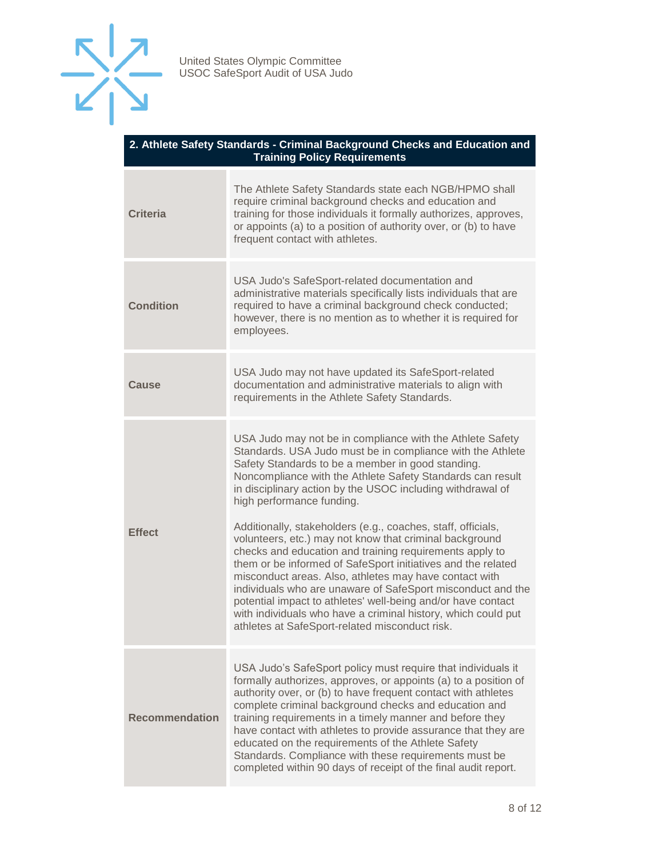

#### **2. Athlete Safety Standards - Criminal Background Checks and Education and Training Policy Requirements**

| <b>Criteria</b>       | The Athlete Safety Standards state each NGB/HPMO shall<br>require criminal background checks and education and<br>training for those individuals it formally authorizes, approves,<br>or appoints (a) to a position of authority over, or (b) to have<br>frequent contact with athletes.                                                                                                                                                                                                                                                                                                                                                                                                                                                                                                                                                                                                                |
|-----------------------|---------------------------------------------------------------------------------------------------------------------------------------------------------------------------------------------------------------------------------------------------------------------------------------------------------------------------------------------------------------------------------------------------------------------------------------------------------------------------------------------------------------------------------------------------------------------------------------------------------------------------------------------------------------------------------------------------------------------------------------------------------------------------------------------------------------------------------------------------------------------------------------------------------|
| <b>Condition</b>      | USA Judo's SafeSport-related documentation and<br>administrative materials specifically lists individuals that are<br>required to have a criminal background check conducted;<br>however, there is no mention as to whether it is required for<br>employees.                                                                                                                                                                                                                                                                                                                                                                                                                                                                                                                                                                                                                                            |
| Cause                 | USA Judo may not have updated its SafeSport-related<br>documentation and administrative materials to align with<br>requirements in the Athlete Safety Standards.                                                                                                                                                                                                                                                                                                                                                                                                                                                                                                                                                                                                                                                                                                                                        |
| <b>Effect</b>         | USA Judo may not be in compliance with the Athlete Safety<br>Standards. USA Judo must be in compliance with the Athlete<br>Safety Standards to be a member in good standing.<br>Noncompliance with the Athlete Safety Standards can result<br>in disciplinary action by the USOC including withdrawal of<br>high performance funding.<br>Additionally, stakeholders (e.g., coaches, staff, officials,<br>volunteers, etc.) may not know that criminal background<br>checks and education and training requirements apply to<br>them or be informed of SafeSport initiatives and the related<br>misconduct areas. Also, athletes may have contact with<br>individuals who are unaware of SafeSport misconduct and the<br>potential impact to athletes' well-being and/or have contact<br>with individuals who have a criminal history, which could put<br>athletes at SafeSport-related misconduct risk. |
| <b>Recommendation</b> | USA Judo's SafeSport policy must require that individuals it<br>formally authorizes, approves, or appoints (a) to a position of<br>authority over, or (b) to have frequent contact with athletes<br>complete criminal background checks and education and<br>training requirements in a timely manner and before they<br>have contact with athletes to provide assurance that they are<br>educated on the requirements of the Athlete Safety<br>Standards. Compliance with these requirements must be<br>completed within 90 days of receipt of the final audit report.                                                                                                                                                                                                                                                                                                                                 |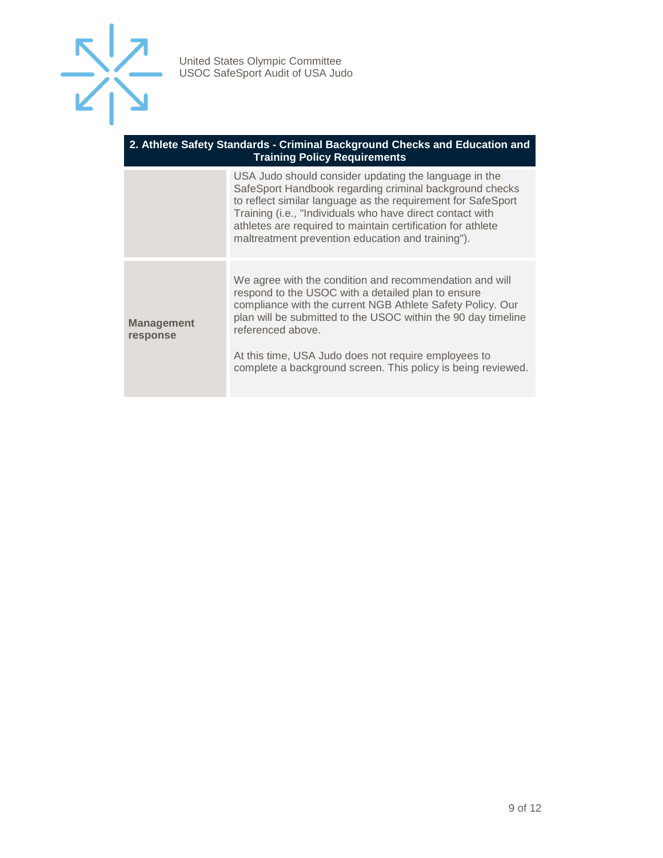

#### **2. Athlete Safety Standards - Criminal Background Checks and Education and Training Policy Requirements**

| USA Judo should consider updating the language in the<br>SafeSport Handbook regarding criminal background checks<br>to reflect similar language as the requirement for SafeSport       |
|----------------------------------------------------------------------------------------------------------------------------------------------------------------------------------------|
|                                                                                                                                                                                        |
| We agree with the condition and recommendation and will<br>compliance with the current NGB Athlete Safety Policy. Our<br>plan will be submitted to the USOC within the 90 day timeline |
| complete a background screen. This policy is being reviewed.                                                                                                                           |
| athletes are required to maintain certification for athlete                                                                                                                            |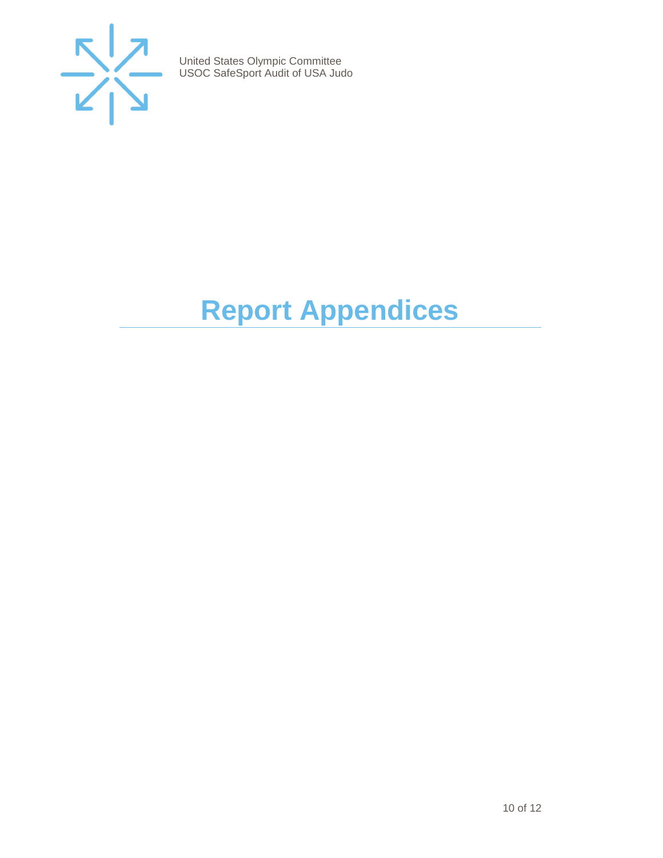

# <span id="page-9-0"></span>**Report Appendices**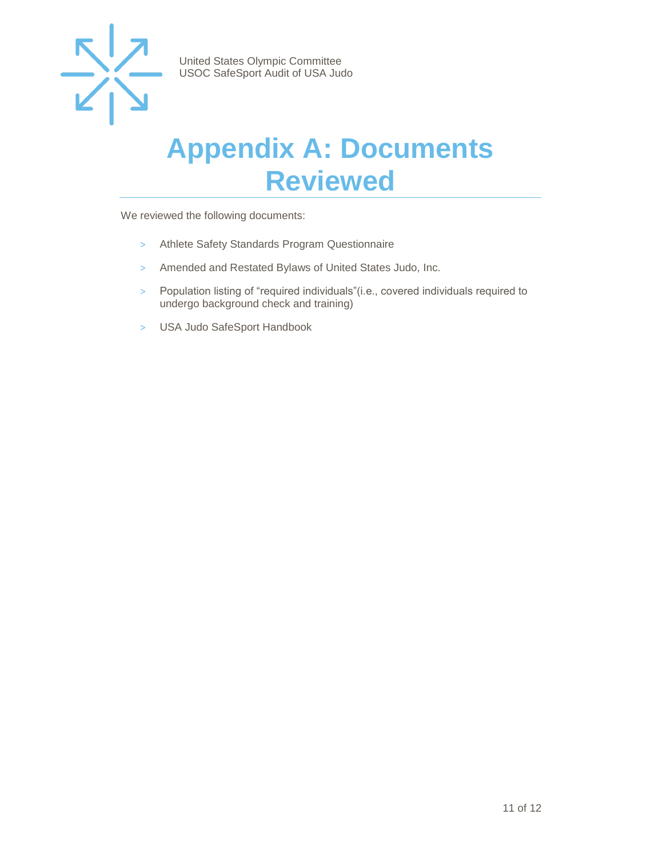

### <span id="page-10-0"></span>**Appendix A: Documents Reviewed**

We reviewed the following documents:

- > Athlete Safety Standards Program Questionnaire
- > Amended and Restated Bylaws of United States Judo, Inc.
- > Population listing of "required individuals"(i.e., covered individuals required to undergo background check and training)
- > USA Judo SafeSport Handbook